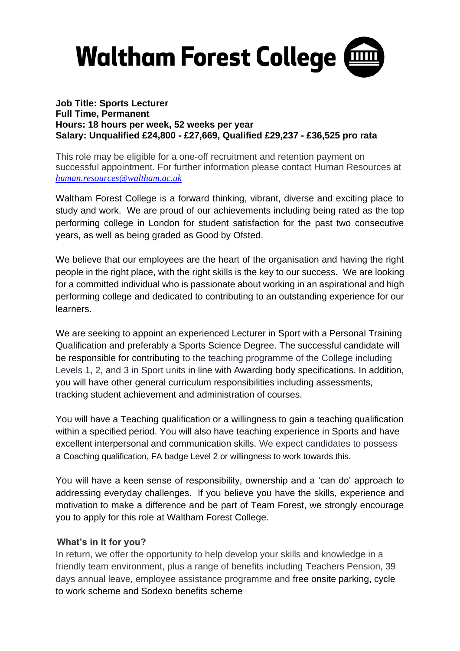

### **Job Title: Sports Lecturer Full Time, Permanent Hours: 18 hours per week, 52 weeks per year Salary: Unqualified £24,800 - £27,669, Qualified £29,237 - £36,525 pro rata**

This role may be eligible for a one-off recruitment and retention payment on successful appointment. For further information please contact Human Resources at *[human.resources@waltham.ac.uk](mailto:human.resources@waltham.ac.uk)*

Waltham Forest College is a forward thinking, vibrant, diverse and exciting place to study and work. We are proud of our achievements including being rated as the top performing college in London for student satisfaction for the past two consecutive years, as well as being graded as Good by Ofsted.

We believe that our employees are the heart of the organisation and having the right people in the right place, with the right skills is the key to our success. We are looking for a committed individual who is passionate about working in an aspirational and high performing college and dedicated to contributing to an outstanding experience for our learners.

We are seeking to appoint an experienced Lecturer in Sport with a Personal Training Qualification and preferably a Sports Science Degree. The successful candidate will be responsible for contributing to the teaching programme of the College including Levels 1, 2, and 3 in Sport units in line with Awarding body specifications. In addition, you will have other general curriculum responsibilities including assessments, tracking student achievement and administration of courses.

You will have a Teaching qualification or a willingness to gain a teaching qualification within a specified period. You will also have teaching experience in Sports and have excellent interpersonal and communication skills. We expect candidates to possess a Coaching qualification, FA badge Level 2 or willingness to work towards this.

You will have a keen sense of responsibility, ownership and a 'can do' approach to addressing everyday challenges. If you believe you have the skills, experience and motivation to make a difference and be part of Team Forest, we strongly encourage you to apply for this role at Waltham Forest College.

## **What's in it for you?**

In return, we offer the opportunity to help develop your skills and knowledge in a friendly team environment, plus a range of benefits including Teachers Pension, 39 days annual leave, employee assistance programme and free onsite parking, cycle to work scheme and Sodexo benefits scheme